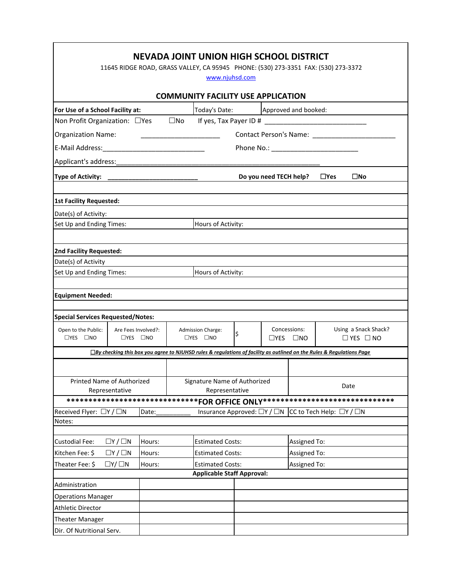| NEVADA JOINT UNION HIGH SCHOOL DISTRICT                                                                                                                                                        |                                                                                 |        |                                                              |                         |  |                                                                                      |                      |  |  |
|------------------------------------------------------------------------------------------------------------------------------------------------------------------------------------------------|---------------------------------------------------------------------------------|--------|--------------------------------------------------------------|-------------------------|--|--------------------------------------------------------------------------------------|----------------------|--|--|
| 11645 RIDGE ROAD, GRASS VALLEY, CA 95945 PHONE: (530) 273-3351 FAX: (530) 273-3372<br>www.njuhsd.com                                                                                           |                                                                                 |        |                                                              |                         |  |                                                                                      |                      |  |  |
| <b>COMMUNITY FACILITY USE APPLICATION</b>                                                                                                                                                      |                                                                                 |        |                                                              |                         |  |                                                                                      |                      |  |  |
| For Use of a School Facility at:                                                                                                                                                               |                                                                                 |        | Today's Date:                                                |                         |  |                                                                                      | Approved and booked: |  |  |
| Non Profit Organization: □ Yes                                                                                                                                                                 | $\square$ No                                                                    |        |                                                              |                         |  |                                                                                      |                      |  |  |
| Contact Person's Name: _______________<br><b>Organization Name:</b>                                                                                                                            |                                                                                 |        |                                                              |                         |  |                                                                                      |                      |  |  |
|                                                                                                                                                                                                |                                                                                 |        |                                                              |                         |  |                                                                                      |                      |  |  |
| Applicant's address:                                                                                                                                                                           |                                                                                 |        |                                                              |                         |  |                                                                                      |                      |  |  |
| <b>Type of Activity:</b>                                                                                                                                                                       | $\square$ No<br>$\Box$ Yes<br>Do you need TECH help?<br>_______________________ |        |                                                              |                         |  |                                                                                      |                      |  |  |
| <b>1st Facility Requested:</b>                                                                                                                                                                 |                                                                                 |        |                                                              |                         |  |                                                                                      |                      |  |  |
| Date(s) of Activity:                                                                                                                                                                           |                                                                                 |        |                                                              |                         |  |                                                                                      |                      |  |  |
| Set Up and Ending Times:                                                                                                                                                                       | Hours of Activity:                                                              |        |                                                              |                         |  |                                                                                      |                      |  |  |
|                                                                                                                                                                                                |                                                                                 |        |                                                              |                         |  |                                                                                      |                      |  |  |
| 2nd Facility Requested:                                                                                                                                                                        |                                                                                 |        |                                                              |                         |  |                                                                                      |                      |  |  |
| Date(s) of Activity                                                                                                                                                                            |                                                                                 |        |                                                              |                         |  |                                                                                      |                      |  |  |
| Set Up and Ending Times:<br>Hours of Activity:                                                                                                                                                 |                                                                                 |        |                                                              |                         |  |                                                                                      |                      |  |  |
| <b>Equipment Needed:</b>                                                                                                                                                                       |                                                                                 |        |                                                              |                         |  |                                                                                      |                      |  |  |
|                                                                                                                                                                                                |                                                                                 |        |                                                              |                         |  |                                                                                      |                      |  |  |
| <b>Special Services Requested/Notes:</b>                                                                                                                                                       |                                                                                 |        |                                                              |                         |  |                                                                                      |                      |  |  |
| Open to the Public:<br>Are Fees Involved?:<br>$\Box$ YES $\Box$ NO<br>$\Box$ YES $\Box$ NO                                                                                                     |                                                                                 |        | <b>Admission Charge:</b><br>\$<br>$\Box$ YES $\Box$ NO       |                         |  | Using a Snack Shack?<br>Concessions:<br>$\Box$ YES $\Box$ NO<br>$\Box$ YES $\Box$ NO |                      |  |  |
| □By checking this box you agree to NJUHSD rules & regulations of facility as outlined on the Rules & Regulations Page                                                                          |                                                                                 |        |                                                              |                         |  |                                                                                      |                      |  |  |
|                                                                                                                                                                                                |                                                                                 |        |                                                              |                         |  |                                                                                      |                      |  |  |
| Printed Name of Authorized                                                                                                                                                                     |                                                                                 |        | Signature Name of Authorized                                 |                         |  |                                                                                      | Date                 |  |  |
| Representative<br>Representative                                                                                                                                                               |                                                                                 |        |                                                              |                         |  |                                                                                      |                      |  |  |
| ******************************FOR OFFICE ONLY******************************<br>Insurance Approved: □Y / □N<br>Date:<br>CC to Tech Help: $\Box Y / \Box N$<br>Received Flyer: $\Box Y / \Box N$ |                                                                                 |        |                                                              |                         |  |                                                                                      |                      |  |  |
| Notes:                                                                                                                                                                                         |                                                                                 |        |                                                              |                         |  |                                                                                      |                      |  |  |
|                                                                                                                                                                                                |                                                                                 |        |                                                              |                         |  |                                                                                      |                      |  |  |
| Custodial Fee:                                                                                                                                                                                 | $\Box Y / \Box N$                                                               | Hours: |                                                              | <b>Estimated Costs:</b> |  |                                                                                      | Assigned To:         |  |  |
| Kitchen Fee: \$                                                                                                                                                                                | $\Box Y / \Box N$<br>Hours:                                                     |        |                                                              | <b>Estimated Costs:</b> |  |                                                                                      | Assigned To:         |  |  |
| Theater Fee: \$<br>$\Box Y/\Box N$<br>Hours:                                                                                                                                                   |                                                                                 |        | <b>Estimated Costs:</b><br><b>Applicable Staff Approval:</b> |                         |  |                                                                                      | Assigned To:         |  |  |
|                                                                                                                                                                                                |                                                                                 |        |                                                              |                         |  |                                                                                      |                      |  |  |
| Administration                                                                                                                                                                                 |                                                                                 |        |                                                              |                         |  |                                                                                      |                      |  |  |
| <b>Operations Manager</b><br><b>Athletic Director</b>                                                                                                                                          |                                                                                 |        |                                                              |                         |  |                                                                                      |                      |  |  |
| <b>Theater Manager</b>                                                                                                                                                                         |                                                                                 |        |                                                              |                         |  |                                                                                      |                      |  |  |
| Dir. Of Nutritional Serv.                                                                                                                                                                      |                                                                                 |        |                                                              |                         |  |                                                                                      |                      |  |  |

 $\mathbf{r}$